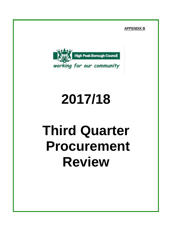**APPENDIX B**



# **2017/18**

# **Third Quarter Procurement Review**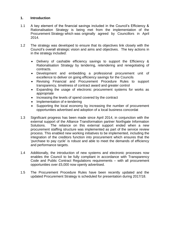#### **1. Introduction**

- 1.1 A key element of the financial savings included in the Council's Efficiency & Rationalisation Strategy is being met from the implementation of the Procurement Strategy which was originally agreed by Councillors in April 2014.
- 1.2 The strategy was developed to ensure that its objectives link closely with the Council's overall strategic vision and aims and objectives. The key actions in in the strategy included:
	- Delivery of cashable efficiency savings to support the Efficiency & Rationalisation Strategy by tendering, retendering and renegotiating of contracts.
	- Development and embedding a professional procurement unit of excellence to deliver on going efficiency savings for the Councils
	- Revising Financial and Procurement Procedure Rules to support transparency, timeliness of contract award and greater control
	- Expanding the usage of electronic procurement systems for works as appropriate
	- Increasing the levels of spend covered by the contract
	- Implementation of e-tendering
	- Supporting the local economy by increasing the number of procurement opportunities advertised and adoption of a local business concordat
- 1.3 Significant progress has been made since April 2014, in conjunction with the external support of the Alliance Transformation partner Northgate Information Solutions. The reliance on this external support ended when a new procurement staffing structure was implemented as part of the service review process. This enabled new working initiatives to be implemented, including the integration of the creditors function into procurement which ensures that the 'purchase to pay cycle' is robust and able to meet the demands of efficiency and performance targets.
- 1.4 Additionally, the introduction of new systems and electronic processes now enables the Council to be fully compliant in accordance with Transparency Code and Public Contract Regulations requirements – with all procurement opportunities over £5,000 now openly advertised.
- 1.5 The Procurement Procedure Rules have been recently updated and the updated Procurement Strategy is scheduled for presentation during 2017/18.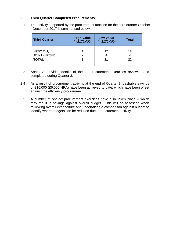#### **2. Third Quarter Completed Procurements**

2.1 The activity supported by the procurement function for the third quarter October - December 2017 is summarised below:

| <b>Third Quarter</b>                                     | <b>High Value</b><br>( > £172,000) | <b>Low Value</b><br>$(E172,000)$ | <b>Total</b>  |
|----------------------------------------------------------|------------------------------------|----------------------------------|---------------|
| <b>HPBC Only</b><br><b>JOINT (HP/SM)</b><br><b>TOTAL</b> |                                    | 17<br>21                         | 18<br>4<br>22 |

- 2.2 Annex A provides details of the 22 procurement exercises reviewed and completed during Quarter 3.
- 2.4 As a result of procurement activity, at the end of Quarter 3, cashable savings of £16,000 (£6,000 HRA) have been achieved to date, which have been offset against the efficiency programme.
- 2.5 A number of one-off procurement exercises have also taken place which may result in savings against overall budget. This will be assessed when reviewing overall expenditure and undertaking a comparison against budget to identify where budgets can be reduced due to procurement activity.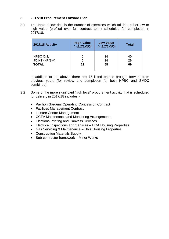#### **3. 2017/18 Procurement Forward Plan**

3.1 The table below details the number of exercises which fall into either low or high value (profiled over full contract term) scheduled for completion in 2017/18.

| 2017/18 Activity     | <b>High Value</b><br>( > £172,000) | <b>Low Value</b><br>$(E172,000)$ | <b>Total</b> |  |
|----------------------|------------------------------------|----------------------------------|--------------|--|
| <b>HPBC Only</b>     | 6                                  | 34                               | 40           |  |
| <b>JOINT (HP/SM)</b> | 5                                  | 24                               | 29           |  |
| <b>TOTAL</b>         | 11                                 | 58                               | 69           |  |

In addition to the above, there are 75 listed entries brought forward from previous years (for review and completion for both HPBC and SMDC combined).

- 3.2 Some of the more significant 'high level' procurement activity that is scheduled for delivery in 2017/18 includes:-
	- Pavilion Gardens Operating Concession Contract
	- Facilities Management Contract
	- Leisure Centre Management
	- CCTV Maintenance and Monitoring Arrangements
	- Elections Printing and Canvass Services
	- Electrical Inspections and Services HRA Housing Properties
	- Gas Servicing & Maintenance HRA Housing Properties
	- Construction Materials Supply
	- Sub-contractor framework Minor Works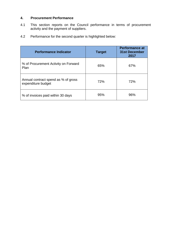#### **4. Procurement Performance**

- 4.1 This section reports on the Council performance in terms of procurement activity and the payment of suppliers.
- 4.2 Performance for the second quarter is highlighted below:

| <b>Performance Indicator</b>                              | <b>Target</b> | <b>Performance at</b><br>31st December<br>2017 |
|-----------------------------------------------------------|---------------|------------------------------------------------|
| % of Procurement Activity on Forward<br>Plan              | 65%           | 67%                                            |
| Annual contract spend as % of gross<br>expenditure budget | 72%           | 72%                                            |
| % of invoices paid within 30 days                         | 95%           | 96%                                            |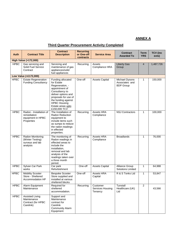### **ANNEX A**

## **Third Quarter Procurement Activity Completed**

| Auth        | <b>Contract Title</b>                                                     | <b>Contract</b><br><b>Description</b>                                                                                                                                                                                    | <b>Recurring</b><br>or One-off<br>contracts | <b>Service Area</b>                     | <b>Contract</b><br><b>Awarded To</b>                 | <b>Term</b><br><b>YRS</b> | <b>TCV</b> (inc<br>exts) |
|-------------|---------------------------------------------------------------------------|--------------------------------------------------------------------------------------------------------------------------------------------------------------------------------------------------------------------------|---------------------------------------------|-----------------------------------------|------------------------------------------------------|---------------------------|--------------------------|
|             | <b>High Value (&gt;172,000)</b>                                           |                                                                                                                                                                                                                          |                                             |                                         |                                                      |                           |                          |
| <b>HPBC</b> | Gas servicing and<br>Solid Fuel Service<br>Contract                       | Servicing and<br>maintenance of gas<br>appliances/solid<br>fuel appliances                                                                                                                                               | Recurring                                   | Assets<br>Compliance HRA                | <b>Liberty Gas</b><br>Group                          | $\overline{4}$            | 1,487,726                |
|             | Low Value (<£172,000)                                                     |                                                                                                                                                                                                                          |                                             |                                         |                                                      |                           |                          |
| <b>HPBC</b> | <b>Estate Regeneration</b><br><b>Funding Consultancy</b>                  | Funding allocated<br>for Estate<br>Regeneration, -<br>appointment of<br>Consultancy to<br>deliver options and<br>proposals for use of<br>the funding against<br><b>HPBC Housing</b><br>Estate areas upto<br>£150,000 TCV | One-off                                     | <b>Assets Capital</b>                   | Michael Dysons<br>Associates and<br><b>BDP Group</b> | 1                         | 150,000                  |
| <b>HPBC</b> | Radon - Installation of<br>remediation<br>equipment in HPBC<br>Properties | The Installation of<br><b>Radon Reduction</b><br>equipment to<br>include items such<br>as sumps to reduce<br>the radon readings<br>in effected<br>properties.                                                            | Recurring                                   | Assets HRA<br>Compliance                | <b>NSJ Contractors</b>                               | 1                         | 100,000                  |
| <b>HPBC</b> | Radon Monitoring<br>(Winter Testing)<br>surveys and lab<br>analysis       | The monitoring of<br>Radon readings in<br>effected areas to<br>include the<br>installation,<br>removal and lab<br>analysis of the<br>readings taken over<br>a three month<br>period.                                     | Recurring                                   | Assets HRA<br>Compliance                | <b>Broadlands</b>                                    | 1                         | 76,000                   |
| <b>HPBC</b> | Sylvan Car Park<br>works                                                  | Car park<br>Refurbishment                                                                                                                                                                                                | One-off                                     | <b>Assets Capital</b>                   | Alliance Group<br><b>Solutions Limited</b>           | $\mathbf{1}$              | 64,988                   |
| <b>HPBC</b> | <b>Mobility Scooter</b><br>Store - Sheltered<br>Accommodation HP          | <b>Bespoke Scooter</b><br>Store supplied and<br>installed at various<br>sheltered blocks                                                                                                                                 | One-off                                     | Assets HRA<br>Capital                   | R & S Tonks Ltd                                      | $\mathbf{1}$              | 53,847                   |
| <b>HPBC</b> | Alarm Equipment<br>Maintenance                                            | Required for<br>sheltered<br>accommodation.                                                                                                                                                                              | Recurring                                   | Customer<br>Services Housing<br>Tenancy | Tunstall<br>Healthcare (UK)<br>Ltd                   | $\overline{2}$            | 43,566                   |
| <b>HPBC</b> | <b>Assisted Living</b><br>Maintenance<br>Contract (for HPBC<br>Carelink)  | Support and<br>Maintenance<br>contract for<br>Carelink<br><b>Community Alarm</b><br>Equipment                                                                                                                            |                                             |                                         |                                                      |                           |                          |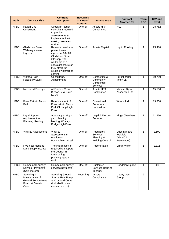| <b>Auth</b> | <b>Contract Title</b>                                                                   | <b>Contract</b><br><b>Description</b>                                                                                                                                                       | <b>Recurring</b><br>or One-off<br>contracts | <b>Service Area</b>                                               | <b>Contract</b><br><b>Awarded To</b>              | <b>Term</b><br><b>YRS</b> | <b>TCV</b> (inc<br>exts) |
|-------------|-----------------------------------------------------------------------------------------|---------------------------------------------------------------------------------------------------------------------------------------------------------------------------------------------|---------------------------------------------|-------------------------------------------------------------------|---------------------------------------------------|---------------------------|--------------------------|
| <b>HPBC</b> | Radon Gas<br>Consultant                                                                 | Specialist Radon<br>consultant required<br>to provide<br>assessments &<br>implementation to<br>meet government<br>advice                                                                    | One-off                                     | Assets HRA<br>Compliance                                          | <b>NSJ</b>                                        | $\mathbf{1}$              | 28,762                   |
| <b>HPBC</b> | <b>Gladstone Street</b><br>Walkway - Water<br>Ingress                                   | Remedial Works to<br>prevent water<br>ingress at 66-80A<br>Gladstone Street,<br>Glossop. The<br>works are of a<br>specialist nature as<br>they affect the<br>existing waterproof<br>coating | One-off                                     | <b>Assets Capital</b>                                             | <b>Liquid Roofing</b><br>Ltd                      | $\mathbf{1}$              | 25,418                   |
| <b>HPBC</b> | <b>Victoria Halls</b><br><b>Feasibility Study</b>                                       | Consultancy<br>Appointment                                                                                                                                                                  | One-off                                     | Democratic &<br>Community -<br>Democratic<br>Services             | <b>Purcell Miller</b><br><b>Triton LLP</b>        | $\mathbf{1}$              | 19,780                   |
| <b>HPBC</b> | <b>Measured Surveys</b>                                                                 | At Fairfield View<br>Buxton, & Winster<br>Mews                                                                                                                                              | One-off                                     | Assets HRA<br>Compliance                                          | Michael Dyson<br>Associates Ltd                   | $\mathbf{1}$              | 15,500                   |
| <b>HPBC</b> | Knee Rails in Manor<br>Park                                                             | Refurbishment of<br>Knee rails in Manor<br>Park Glossop High<br>Peak                                                                                                                        | One-off                                     | Operational<br>Services -<br>Horticulture                         | Woods Ltd                                         | $\mathbf{1}$              | 13,358                   |
| <b>HPBC</b> | Legal Support<br>requirement for<br><b>Planning Hearing</b>                             | Advocacy at Hogs<br>yard planning<br>hearing, Whaley<br><b>Bridge High Peak</b>                                                                                                             | One-off                                     | Legal & Election<br><b>Services</b>                               | <b>Kings Chambers</b>                             | $\mathbf{1}$              | 11,250                   |
| <b>HPBC</b> | Viability Assessment                                                                    | Viability<br>assessment in<br>relation to<br>Buckingham Hotel                                                                                                                               | One-off                                     | Regulatory<br>Services -<br>Planning &<br><b>Building Control</b> | Cushman and<br>Wakfield<br>(Via HCA<br>Framework) | $\mathbf{1}$              | 2,500                    |
| <b>HPBC</b> | Five Year Housing<br>Land Supply update                                                 | The information is<br>required to support<br>the Council in<br>forthcoming<br>planning appeal<br>work.                                                                                      | One-off                                     | Regeneration                                                      | <b>Urban Vision</b>                               | $\mathbf{1}$              | 2,316                    |
| <b>HPBC</b> | Communal Laundry<br>Service - Payments<br>(Coin meters)                                 | <b>Communal Laundry</b><br>services payments                                                                                                                                                | One-off                                     | Customer<br>Services Housing<br>Tenancy                           | Goodman Sparks                                    | $\mathbf{1}$              | 300                      |
| <b>HPBC</b> | Servicing &<br>Maintenance of<br><b>Ground Source Heat</b><br>Pump at Cromford<br>Court | <b>Servicing Ground</b><br>Source Heat Pump<br>at Cromford Court<br>(included in main<br>contract above)                                                                                    | Recurring                                   | Assets<br>Compliance                                              | <b>Liberty Gas</b><br>Group                       | $\overline{2}$            | $\mathbf{r}$             |